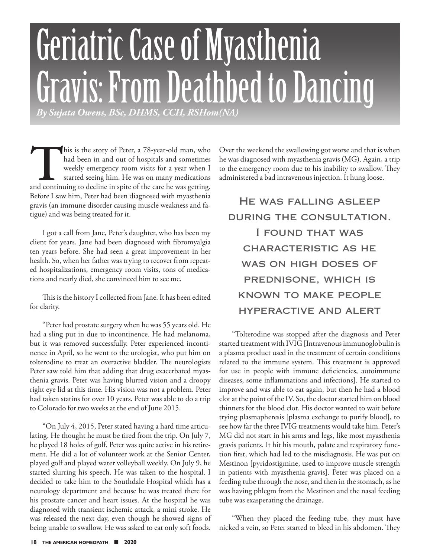# Geriatric Case of Myasthenia Gravis: From Deathbed to Dancing *By Sujata Owens, BSc, DHMS, CCH, RSHom(NA)*

This is the story of Peter, a 78-year-old man, who had been in and out of hospitals and sometimes weekly emergency room visits for a year when I started seeing him. He was on many medications and continuing to decline in s had been in and out of hospitals and sometimes weekly emergency room visits for a year when I started seeing him. He was on many medications Before I saw him, Peter had been diagnosed with myasthenia gravis (an immune disorder causing muscle weakness and fatigue) and was being treated for it.

I got a call from Jane, Peter's daughter, who has been my client for years. Jane had been diagnosed with fibromyalgia ten years before. She had seen a great improvement in her health. So, when her father was trying to recover from repeated hospitalizations, emergency room visits, tons of medications and nearly died, she convinced him to see me.

This is the history I collected from Jane. It has been edited for clarity.

"Peter had prostate surgery when he was 55 years old. He had a sling put in due to incontinence. He had melanoma, but it was removed successfully. Peter experienced incontinence in April, so he went to the urologist, who put him on tolterodine to treat an overactive bladder. The neurologists Peter saw told him that adding that drug exacerbated myasthenia gravis. Peter was having blurred vision and a droopy right eye lid at this time. His vision was not a problem. Peter had taken statins for over 10 years. Peter was able to do a trip to Colorado for two weeks at the end of June 2015.

"On July 4, 2015, Peter stated having a hard time articulating. He thought he must be tired from the trip. On July 7, he played 18 holes of golf. Peter was quite active in his retirement. He did a lot of volunteer work at the Senior Center, played golf and played water volleyball weekly. On July 9, he started slurring his speech. He was taken to the hospital. I decided to take him to the Southdale Hospital which has a neurology department and because he was treated there for his prostate cancer and heart issues. At the hospital he was diagnosed with transient ischemic attack, a mini stroke. He was released the next day, even though he showed signs of being unable to swallow. He was asked to eat only soft foods.

Over the weekend the swallowing got worse and that is when he was diagnosed with myasthenia gravis (MG). Again, a trip to the emergency room due to his inability to swallow. They administered a bad intravenous injection. It hung loose.

He was falling asleep during the consultation. I found that was characteristic as he WAS ON HIGH DOSES OF prednisone, which is known to make people hyperactive and alert

"Tolterodine was stopped after the diagnosis and Peter started treatment with IVIG [Intravenous immunoglobulin is a plasma product used in the treatment of certain conditions related to the immune system. This treatment is approved for use in people with immune deficiencies, autoimmune diseases, some inflammations and infections]. He started to improve and was able to eat again, but then he had a blood clot at the point of the IV. So, the doctor started him on blood thinners for the blood clot. His doctor wanted to wait before trying plasmapheresis [plasma exchange to purify blood], to see how far the three IVIG treatments would take him. Peter's MG did not start in his arms and legs, like most myasthenia gravis patients. It hit his mouth, palate and respiratory function first, which had led to the misdiagnosis. He was put on Mestinon [pyridostigmine, used to improve muscle strength in patients with myasthenia gravis]. Peter was placed on a feeding tube through the nose, and then in the stomach, as he was having phlegm from the Mestinon and the nasal feeding tube was exasperating the drainage.

"When they placed the feeding tube, they must have nicked a vein, so Peter started to bleed in his abdomen. They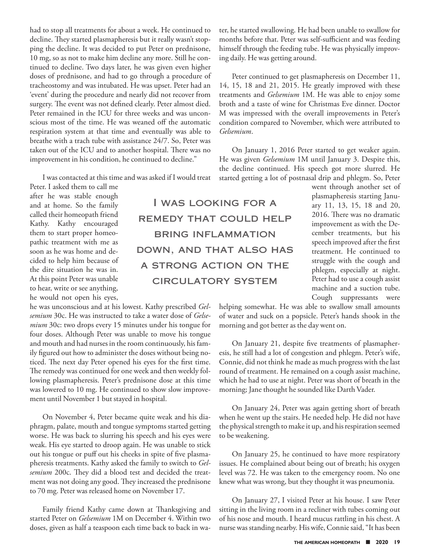had to stop all treatments for about a week. He continued to decline. They started plasmapheresis but it really wasn't stopping the decline. It was decided to put Peter on prednisone, 10 mg, so as not to make him decline any more. Still he continued to decline. Two days later, he was given even higher doses of prednisone, and had to go through a procedure of tracheostomy and was intubated. He was upset. Peter had an 'event' during the procedure and nearly did not recover from surgery. The event was not defined clearly. Peter almost died. Peter remained in the ICU for three weeks and was unconscious most of the time. He was weaned off the automatic respiration system at that time and eventually was able to breathe with a trach tube with assistance 24/7. So, Peter was taken out of the ICU and to another hospital. There was no improvement in his condition, he continued to decline."

I was contacted at this time and was asked if I would treat

Peter. I asked them to call me after he was stable enough and at home. So the family called their homeopath friend Kathy. Kathy encouraged them to start proper homeopathic treatment with me as soon as he was home and decided to help him because of the dire situation he was in. At this point Peter was unable to hear, write or see anything, he would not open his eyes,

he was unconscious and at his lowest. Kathy prescribed *Gelsemium* 30c. He was instructed to take a water dose of *Gelsemium* 30c: two drops every 15 minutes under his tongue for four doses. Although Peter was unable to move his tongue and mouth and had nurses in the room continuously, his family figured out how to administer the doses without being noticed. The next day Peter opened his eyes for the first time. The remedy was continued for one week and then weekly following plasmapheresis. Peter's prednisone dose at this time was lowered to 10 mg. He continued to show slow improvement until November 1 but stayed in hospital.

On November 4, Peter became quite weak and his diaphragm, palate, mouth and tongue symptoms started getting worse. He was back to slurring his speech and his eyes were weak. His eye started to droop again. He was unable to stick out his tongue or puff out his cheeks in spite of five plasmapheresis treatments. Kathy asked the family to switch to *Gelsemium* 200c. They did a blood test and decided the treatment was not doing any good. They increased the prednisone to 70 mg. Peter was released home on November 17.

Family friend Kathy came down at Thanksgiving and started Peter on *Gelsemium* 1M on December 4. Within two doses, given as half a teaspoon each time back to back in water, he started swallowing. He had been unable to swallow for months before that. Peter was self-sufficient and was feeding himself through the feeding tube. He was physically improving daily. He was getting around.

Peter continued to get plasmapheresis on December 11, 14, 15, 18 and 21, 2015. He greatly improved with these treatments and *Gelsemium* 1M. He was able to enjoy some broth and a taste of wine for Christmas Eve dinner. Doctor M was impressed with the overall improvements in Peter's condition compared to November, which were attributed to *Gelsemium*.

On January 1, 2016 Peter started to get weaker again. He was given *Gelsemium* 1M until January 3. Despite this, the decline continued. His speech got more slurred. He started getting a lot of postnasal drip and phlegm. So, Peter

I was looking for a REMEDY THAT COULD HELP bring inflammation down, and that also has a strong action on the circulatory system

went through another set of plasmapheresis starting January 11, 13, 15, 18 and 20, 2016. There was no dramatic improvement as with the December treatments, but his speech improved after the first treatment. He continued to struggle with the cough and phlegm, especially at night. Peter had to use a cough assist machine and a suction tube. Cough suppressants were

helping somewhat. He was able to swallow small amounts of water and suck on a popsicle. Peter's hands shook in the morning and got better as the day went on.

On January 21, despite five treatments of plasmapheresis, he still had a lot of congestion and phlegm. Peter's wife, Connie, did not think he made as much progress with the last round of treatment. He remained on a cough assist machine, which he had to use at night. Peter was short of breath in the morning; Jane thought he sounded like Darth Vader.

On January 24, Peter was again getting short of breath when he went up the stairs. He needed help. He did not have the physical strength to make it up, and his respiration seemed to be weakening.

On January 25, he continued to have more respiratory issues. He complained about being out of breath; his oxygen level was 72. He was taken to the emergency room. No one knew what was wrong, but they thought it was pneumonia.

On January 27, I visited Peter at his house. I saw Peter sitting in the living room in a recliner with tubes coming out of his nose and mouth. I heard mucus rattling in his chest. A nurse was standing nearby. His wife, Connie said, "It has been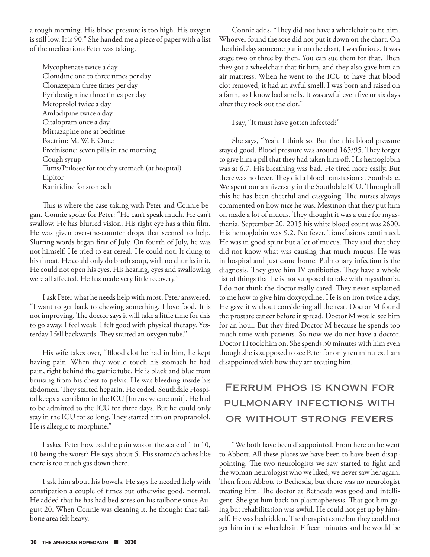a tough morning. His blood pressure is too high. His oxygen is still low. It is 90." She handed me a piece of paper with a list of the medications Peter was taking.

Mycophenate twice a day Clonidine one to three times per day Clonazepam three times per day Pyridostigmine three times per day Metoprolol twice a day Amlodipine twice a day Citalopram once a day Mirtazapine one at bedtime Bactrim: M, W, F. Once Prednisone: seven pills in the morning Cough syrup Tums/Prilosec for touchy stomach (at hospital) Lipitor Ranitidine for stomach

This is where the case-taking with Peter and Connie began. Connie spoke for Peter: "He can't speak much. He can't swallow. He has blurred vision. His right eye has a thin film. He was given over-the-counter drops that seemed to help. Slurring words began first of July. On fourth of July, he was not himself. He tried to eat cereal. He could not. It clung to his throat. He could only do broth soup, with no chunks in it. He could not open his eyes. His hearing, eyes and swallowing were all affected. He has made very little recovery."

I ask Peter what he needs help with most. Peter answered. "I want to get back to chewing something. I love food. It is not improving. The doctor says it will take a little time for this to go away. I feel weak. I felt good with physical therapy. Yesterday I fell backwards. They started an oxygen tube."

His wife takes over, "Blood clot he had in him, he kept having pain. When they would touch his stomach he had pain, right behind the gastric tube. He is black and blue from bruising from his chest to pelvis. He was bleeding inside his abdomen. They started heparin. He coded. Southdale Hospital keeps a ventilator in the ICU [Intensive care unit]. He had to be admitted to the ICU for three days. But he could only stay in the ICU for so long. They started him on propranolol. He is allergic to morphine."

I asked Peter how bad the pain was on the scale of 1 to 10, 10 being the worst? He says about 5. His stomach aches like there is too much gas down there.

I ask him about his bowels. He says he needed help with constipation a couple of times but otherwise good, normal. He added that he has had bed sores on his tailbone since August 20. When Connie was cleaning it, he thought that tailbone area felt heavy.

Connie adds, "They did not have a wheelchair to fit him. Whoever found the sore did not put it down on the chart. On the third day someone put it on the chart, I was furious. It was stage two or three by then. You can sue them for that. Then they got a wheelchair that fit him, and they also gave him an air mattress. When he went to the ICU to have that blood clot removed, it had an awful smell. I was born and raised on a farm, so I know bad smells. It was awful even five or six days after they took out the clot."

I say, "It must have gotten infected?"

She says, "Yeah. I think so. But then his blood pressure stayed good. Blood pressure was around 165/95. They forgot to give him a pill that they had taken him off. His hemoglobin was at 6.7. His breathing was bad. He tired more easily. But there was no fever. They did a blood transfusion at Southdale. We spent our anniversary in the Southdale ICU. Through all this he has been cheerful and easygoing. The nurses always commented on how nice he was. Mestinon that they put him on made a lot of mucus. They thought it was a cure for myasthenia. September 20, 2015 his white blood count was 2600. His hemoglobin was 9.2. No fever. Transfusions continued. He was in good spirit but a lot of mucus. They said that they did not know what was causing that much mucus. He was in hospital and just came home. Pulmonary infection is the diagnosis. They gave him IV antibiotics. They have a whole list of things that he is not supposed to take with myasthenia. I do not think the doctor really cared. They never explained to me how to give him doxycycline. He is on iron twice a day. He gave it without considering all the rest. Doctor M found the prostate cancer before it spread. Doctor M would see him for an hour. But they fired Doctor M because he spends too much time with patients. So now we do not have a doctor. Doctor H took him on. She spends 30 minutes with him even though she is supposed to see Peter for only ten minutes. I am disappointed with how they are treating him.

# Ferrum phos is known for pulmonary infections with or without strong fevers

"We both have been disappointed. From here on he went to Abbott. All these places we have been to have been disappointing. The two neurologists we saw started to fight and the woman neurologist who we liked, we never saw her again. Then from Abbott to Bethesda, but there was no neurologist treating him. The doctor at Bethesda was good and intelligent. She got him back on plasmapheresis. That got him going but rehabilitation was awful. He could not get up by himself. He was bedridden. The therapist came but they could not get him in the wheelchair. Fifteen minutes and he would be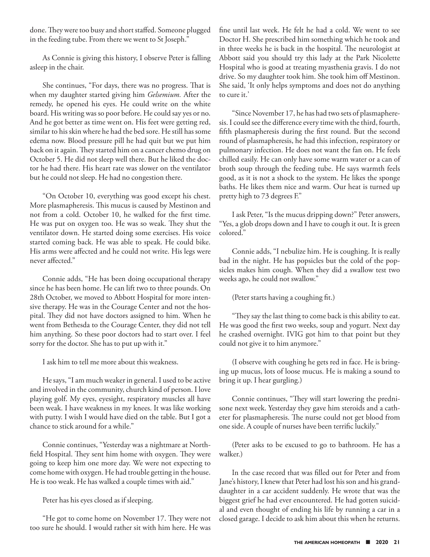done. They were too busy and short staffed. Someone plugged in the feeding tube. From there we went to St Joseph."

As Connie is giving this history, I observe Peter is falling asleep in the chair.

She continues, "For days, there was no progress. That is when my daughter started giving him *Gelsemium.* After the remedy, he opened his eyes. He could write on the white board. His writing was so poor before. He could say yes or no. And he got better as time went on. His feet were getting red, similar to his skin where he had the bed sore. He still has some edema now. Blood pressure pill he had quit but we put him back on it again. They started him on a cancer chemo drug on October 5. He did not sleep well there. But he liked the doctor he had there. His heart rate was slower on the ventilator but he could not sleep. He had no congestion there.

"On October 10, everything was good except his chest. More plasmapheresis. This mucus is caused by Mestinon and not from a cold. October 10, he walked for the first time. He was put on oxygen too. He was so weak. They shut the ventilator down. He started doing some exercises. His voice started coming back. He was able to speak. He could bike. His arms were affected and he could not write. His legs were never affected."

Connie adds, "He has been doing occupational therapy since he has been home. He can lift two to three pounds. On 28th October, we moved to Abbott Hospital for more intensive therapy. He was in the Courage Center and not the hospital. They did not have doctors assigned to him. When he went from Bethesda to the Courage Center, they did not tell him anything. So these poor doctors had to start over. I feel sorry for the doctor. She has to put up with it."

I ask him to tell me more about this weakness.

He says, "I am much weaker in general. I used to be active and involved in the community, church kind of person. I love playing golf. My eyes, eyesight, respiratory muscles all have been weak. I have weakness in my knees. It was like working with putty. I wish I would have died on the table. But I got a chance to stick around for a while."

Connie continues, "Yesterday was a nightmare at Northfield Hospital. They sent him home with oxygen. They were going to keep him one more day. We were not expecting to come home with oxygen. He had trouble getting in the house. He is too weak. He has walked a couple times with aid."

Peter has his eyes closed as if sleeping.

"He got to come home on November 17. They were not too sure he should. I would rather sit with him here. He was

fine until last week. He felt he had a cold. We went to see Doctor H. She prescribed him something which he took and in three weeks he is back in the hospital. The neurologist at Abbott said you should try this lady at the Park Nicolette Hospital who is good at treating myasthenia gravis. I do not drive. So my daughter took him. She took him off Mestinon. She said, 'It only helps symptoms and does not do anything to cure it.'

"Since November 17, he has had two sets of plasmapheresis. I could see the difference every time with the third, fourth, fifth plasmapheresis during the first round. But the second round of plasmapheresis, he had this infection, respiratory or pulmonary infection. He does not want the fan on. He feels chilled easily. He can only have some warm water or a can of broth soup through the feeding tube. He says warmth feels good, as it is not a shock to the system. He likes the sponge baths. He likes them nice and warm. Our heat is turned up pretty high to 73 degrees F."

I ask Peter, "Is the mucus dripping down?" Peter answers, "Yes, a glob drops down and I have to cough it out. It is green colored."

Connie adds, "I nebulize him. He is coughing. It is really bad in the night. He has popsicles but the cold of the popsicles makes him cough. When they did a swallow test two weeks ago, he could not swallow."

(Peter starts having a coughing fit.)

"They say the last thing to come back is this ability to eat. He was good the first two weeks, soup and yogurt. Next day he crashed overnight. IVIG got him to that point but they could not give it to him anymore."

(I observe with coughing he gets red in face. He is bringing up mucus, lots of loose mucus. He is making a sound to bring it up. I hear gurgling.)

Connie continues, "They will start lowering the prednisone next week. Yesterday they gave him steroids and a catheter for plasmapheresis. The nurse could not get blood from one side. A couple of nurses have been terrific luckily."

(Peter asks to be excused to go to bathroom. He has a walker.)

In the case record that was filled out for Peter and from Jane's history, I knew that Peter had lost his son and his granddaughter in a car accident suddenly. He wrote that was the biggest grief he had ever encountered. He had gotten suicidal and even thought of ending his life by running a car in a closed garage. I decide to ask him about this when he returns.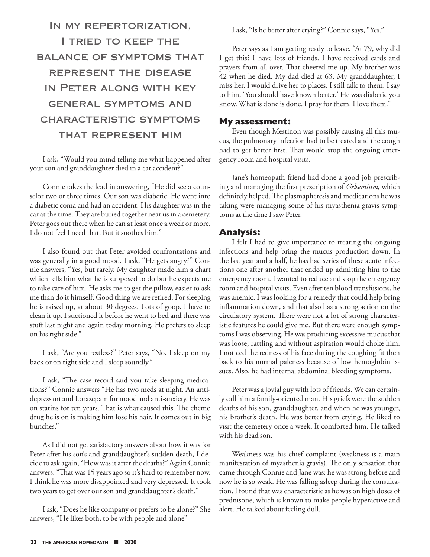In my repertorization, I tried to keep the balance of symptoms that represent the disease in Peter along with key general symptoms and characteristic symptoms that represent him

I ask, "Would you mind telling me what happened after your son and granddaughter died in a car accident?"

Connie takes the lead in answering, "He did see a counselor two or three times. Our son was diabetic. He went into a diabetic coma and had an accident. His daughter was in the car at the time. They are buried together near us in a cemetery. Peter goes out there when he can at least once a week or more. I do not feel I need that. But it soothes him."

I also found out that Peter avoided confrontations and was generally in a good mood. I ask, "He gets angry?" Connie answers, "Yes, but rarely. My daughter made him a chart which tells him what he is supposed to do but he expects me to take care of him. He asks me to get the pillow, easier to ask me than do it himself. Good thing we are retired. For sleeping he is raised up, at about 30 degrees. Lots of goop. I have to clean it up. I suctioned it before he went to bed and there was stuff last night and again today morning. He prefers to sleep on his right side."

I ask, "Are you restless?" Peter says, "No. I sleep on my back or on right side and I sleep soundly."

I ask, "The case record said you take sleeping medications?" Connie answers "He has two meds at night. An antidepressant and Lorazepam for mood and anti-anxiety. He was on statins for ten years. That is what caused this. The chemo drug he is on is making him lose his hair. It comes out in big bunches."

As I did not get satisfactory answers about how it was for Peter after his son's and granddaughter's sudden death, I decide to ask again, "How was it after the deaths?" Again Connie answers: "That was 15 years ago so it's hard to remember now. I think he was more disappointed and very depressed. It took two years to get over our son and granddaughter's death."

I ask, "Does he like company or prefers to be alone?" She answers, "He likes both, to be with people and alone"

I ask, "Is he better after crying?" Connie says, "Yes."

Peter says as I am getting ready to leave. "At 79, why did I get this? I have lots of friends. I have received cards and prayers from all over. That cheered me up. My brother was 42 when he died. My dad died at 63. My granddaughter, I miss her. I would drive her to places. I still talk to them. I say to him, 'You should have known better.' He was diabetic you know. What is done is done. I pray for them. I love them."

#### **My assessment:**

Even though Mestinon was possibly causing all this mucus, the pulmonary infection had to be treated and the cough had to get better first. That would stop the ongoing emergency room and hospital visits.

Jane's homeopath friend had done a good job prescribing and managing the first prescription of *Gelsemium,* which definitely helped. The plasmapheresis and medications he was taking were managing some of his myasthenia gravis symptoms at the time I saw Peter.

#### **Analysis:**

I felt I had to give importance to treating the ongoing infections and help bring the mucus production down. In the last year and a half, he has had series of these acute infections one after another that ended up admitting him to the emergency room. I wanted to reduce and stop the emergency room and hospital visits. Even after ten blood transfusions, he was anemic. I was looking for a remedy that could help bring inflammation down, and that also has a strong action on the circulatory system. There were not a lot of strong characteristic features he could give me. But there were enough symptoms I was observing. He was producing excessive mucus that was loose, rattling and without aspiration would choke him. I noticed the redness of his face during the coughing fit then back to his normal paleness because of low hemoglobin issues. Also, he had internal abdominal bleeding symptoms.

Peter was a jovial guy with lots of friends. We can certainly call him a family-oriented man. His griefs were the sudden deaths of his son, granddaughter, and when he was younger, his brother's death. He was better from crying. He liked to visit the cemetery once a week. It comforted him. He talked with his dead son.

Weakness was his chief complaint (weakness is a main manifestation of myasthenia gravis). The only sensation that came through Connie and Jane was: he was strong before and now he is so weak. He was falling asleep during the consultation. I found that was characteristic as he was on high doses of prednisone, which is known to make people hyperactive and alert. He talked about feeling dull.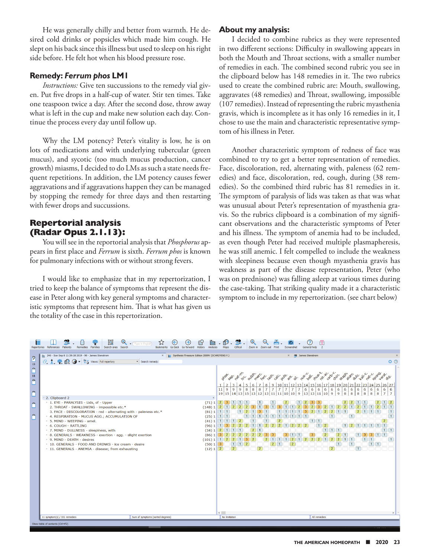He was generally chilly and better from warmth. He desired cold drinks or popsicles which made him cough. He slept on his back since this illness but used to sleep on his right side before. He felt hot when his blood pressure rose.

#### **Remedy:** *Ferrum phos* **LM1**

*Instructions:* Give ten succussions to the remedy vial given. Put five drops in a half-cup of water. Stir ten times. Take one teaspoon twice a day. After the second dose, throw away what is left in the cup and make new solution each day. Continue the process every day until follow up.

Why the LM potency? Peter's vitality is low, he is on lots of medications and with underlying tubercular (green mucus), and sycotic (too much mucus production, cancer growth) miasms, I decided to do LMs as such a state needs frequent repetitions. In addition, the LM potency causes fewer aggravations and if aggravations happen they can be managed by stopping the remedy for three days and then restarting with fewer drops and succussions.

## **Repertorial analysis (Radar Opus 2.1.13):**

You will see in the reportorial analysis that *Phosphorus* appears in first place and *Ferrum* is sixth. *Ferrum phos* is known for pulmonary infections with or without strong fevers.

I would like to emphasize that in my repertorization, I tried to keep the balance of symptoms that represent the disease in Peter along with key general symptoms and characteristic symptoms that represent him. That is what has given us the totality of the case in this repertorization.

#### **About my analysis:**

I decided to combine rubrics as they were represented in two different sections: Difficulty in swallowing appears in both the Mouth and Throat sections, with a smaller number of remedies in each. The combined second rubric you see in the clipboard below has 148 remedies in it. The two rubrics used to create the combined rubric are: Mouth, swallowing, aggravates (48 remedies) and Throat, swallowing, impossible (107 remedies). Instead of representing the rubric myasthenia gravis, which is incomplete as it has only 16 remedies in it, I chose to use the main and characteristic representative symptom of his illness in Peter.

Another characteristic symptom of redness of face was combined to try to get a better representation of remedies. Face, discoloration, red, alternating with, paleness (62 remedies) and face, discoloration, red, cough, during (38 remedies). So the combined third rubric has 81 remedies in it. The symptom of paralysis of lids was taken as that was what was unusual about Peter's representation of myasthenia gravis. So the rubrics clipboard is a combination of my significant observations and the characteristic symptoms of Peter and his illness. The symptom of anemia had to be included, as even though Peter had received multiple plasmapheresis, he was still anemic. I felt compelled to include the weakness with sleepiness because even though myasthenia gravis has weakness as part of the disease representation, Peter (who was on prednisone) was falling asleep at various times during the case-taking. That striking quality made it a characteristic symptom to include in my repertorization. (see chart below)

| ٠<br>Type in Englis<br>Search area Search<br>Bookmarks<br>History<br>Clificol<br>General help<br>$\overline{2}$<br>Go back Go forward<br>Analysis<br>References<br>Patients<br><b>Remedies</b><br>Maps<br>Zoom in<br>Repertories<br>Families<br>Zoom out<br>Print |                                                                                                                                                                                                                                                                                                                                                                                                                                                                                                                                                                                                                                                                               |                                  |                                                                                                                                                                         |                                                                                                                                   |                                                                                                     |                                                                                                    |                                                                                                                   |                                                                                                                         |                                                                                                                                                                                       |                                                                                                          |                                                                            |                                                                                                     |                                                                                  |                                                                                                          |                                                                                 |                                                                                 |                                                                |                                                                |                                                              |                                                                                                                                   |                                                                             |  |
|-------------------------------------------------------------------------------------------------------------------------------------------------------------------------------------------------------------------------------------------------------------------|-------------------------------------------------------------------------------------------------------------------------------------------------------------------------------------------------------------------------------------------------------------------------------------------------------------------------------------------------------------------------------------------------------------------------------------------------------------------------------------------------------------------------------------------------------------------------------------------------------------------------------------------------------------------------------|----------------------------------|-------------------------------------------------------------------------------------------------------------------------------------------------------------------------|-----------------------------------------------------------------------------------------------------------------------------------|-----------------------------------------------------------------------------------------------------|----------------------------------------------------------------------------------------------------|-------------------------------------------------------------------------------------------------------------------|-------------------------------------------------------------------------------------------------------------------------|---------------------------------------------------------------------------------------------------------------------------------------------------------------------------------------|----------------------------------------------------------------------------------------------------------|----------------------------------------------------------------------------|-----------------------------------------------------------------------------------------------------|----------------------------------------------------------------------------------|----------------------------------------------------------------------------------------------------------|---------------------------------------------------------------------------------|---------------------------------------------------------------------------------|----------------------------------------------------------------|----------------------------------------------------------------|--------------------------------------------------------------|-----------------------------------------------------------------------------------------------------------------------------------|-----------------------------------------------------------------------------|--|
| $\sqrt{2}$<br>$15\,$<br>$\triangle$<br>L.<br>$11$<br>O.<br>L<br>$\triangle$<br>ı.<br>Õ.<br>$\bullet$                                                                                                                                                              | 240 - Sun Sep 8 11:39:18 2019 - 90 - James Stenstrom<br>lin<br><b>C. 1 マ 印 〇 - News: Full repertory</b><br>Search remedy:<br>* 2. Clipboard 2<br>> 1. EYE - PARALYSIS - Lids, of - Upper<br>2. THROAT - SWALLOWING - impossible etc.*<br>3. FACE - DISCOLORATION - red - alternating with - paleness etc.*<br>* 4. RESPIRATION - MUCUS AGG.; ACCUMULATION OF<br>> 5. MIND - WEEPING - amel.<br>▶ 6. COUGH - RATTLING<br>> 7. MIND - DULLNESS - sleepiness, with<br>▶ 8. GENERALS - WEAKNESS - exertion - agg. - slight exertion<br>▶ 9. MIND - DEATH - desires<br>▶ 10. GENERALS - FOOD AND DRINKS - ice cream - desire<br>> 11. GENERALS - ANEMIA - disease; from exhausting |                                  | X   Synthesis Treasure Edition 2009V (SCHROYENS F.)<br>$\times$<br>(71)1<br>(148)1<br>(81)1<br>(25)1<br>(41)1<br>(96)1<br>(34)1<br>(86)1<br>(101)1<br>(50)1<br>(12) 1 2 | dros<br>$11$   9<br>$1$   $1$<br>$\vert$ 1<br>$\sqrt{2}$<br>$\mathbf{1}$<br>-3.<br>$\parallel$ 1 $\parallel$ 2<br>$\vert 3 \vert$ | 3<br>$\overline{9}$<br>$\mathbf{1}$<br>$\vert$ 1<br>$\overline{2}$<br>$\boxed{1}$<br>$\overline{2}$ | $\frac{1}{\sqrt{2}}$<br>-5<br>$\mathbf{A}$<br>$\overline{9}$<br>8<br>$\mathbf{1}$<br>-3<br>$1$   2 | Sulph.<br>-6<br>8<br>-8<br>$\overline{2}$<br>$\overline{1}$<br>$\overline{2}$<br>$\overline{2}$<br>$\overline{2}$ | met ret ar<br>8<br>7<br>$19 15 14 13 15 13 12 13 11 11 10 10 9 13 13 11 10 9$<br>$\overline{2}$<br>-3<br>$\overline{2}$ | alc outs ars.<br>9<br>10<br>$\overline{7}$<br>$\overline{1}$<br>$\mathbf{1}$<br>$\mathcal{P}$<br>$\overline{2}$<br>$\vert$ 1<br>$\vert$ 1 $\vert$<br>$\overline{2}$<br>$\overline{1}$ | $\times$<br>12<br>11<br>$\overline{7}$<br>7<br>$\overline{2}$<br>$\overline{2}$<br>  1<br>$\overline{2}$ | mot N.<br>合<br>13114<br>$\overline{7}$<br>2 <sup>1</sup><br>1 <sup>1</sup> | <b>SP</b> James Stenstrom<br><b>vell</b><br>6<br>6<br>$\vert$ 2<br>$\overline{2}$<br>$\overline{2}$ | <b>All-a</b> C.<br>15 16 <br>6<br>$1$ 1<br>1<br>$\overline{2}$<br>$\overline{2}$ | Garow<br>17<br>18<br>6<br>6<br>$\vert$ 1<br>$1$ $1$ $1$<br>$\overline{2}$<br>$\vert$ 1<br>$\overline{2}$ | 19<br>6<br>$\overline{9}$<br>$\overline{2}$<br>$\overline{2}$<br>$\overline{1}$ | 6<br>6<br>8<br> 8 <br>$\overline{1}$<br>$\Box$ 1<br>$\vert$ 1<br>$\overline{1}$ | 20 21 22 23 24<br>6<br>$\bf{8}$<br>$\overline{2}$<br>$\vert$ 1 | 6<br>$\overline{\mathbf{8}}$<br>$\mathbf{1}$<br>1<br>$\vert$ 1 | 251<br>6<br>6<br>8 <sup>1</sup><br>8 <sup>°</sup><br>$1$ $1$ | <b>Jeist.</b><br>′శ్రీ<br>26 27<br>6<br>$\overline{7}$<br>$\overline{2}$<br>$\overline{1}$<br>$1$ $1$<br>$1$   $1$<br>$\boxed{1}$ | $\times$<br>$\bullet$ $\circ$<br>6<br>$\overline{7}$<br>$\vert$ 1<br>$\Box$ |  |
|                                                                                                                                                                                                                                                                   | 11 symptom(s) / 331 remedies                                                                                                                                                                                                                                                                                                                                                                                                                                                                                                                                                                                                                                                  | Sum of symptoms (sorted degrees) |                                                                                                                                                                         | $\left\langle \cdot \right\rangle$<br>No limitation                                                                               |                                                                                                     |                                                                                                    |                                                                                                                   |                                                                                                                         |                                                                                                                                                                                       |                                                                                                          |                                                                            |                                                                                                     | All remedies                                                                     |                                                                                                          |                                                                                 |                                                                                 |                                                                |                                                                |                                                              |                                                                                                                                   |                                                                             |  |
| Show table of contents (Ctrl+F2)                                                                                                                                                                                                                                  |                                                                                                                                                                                                                                                                                                                                                                                                                                                                                                                                                                                                                                                                               |                                  |                                                                                                                                                                         |                                                                                                                                   |                                                                                                     |                                                                                                    |                                                                                                                   |                                                                                                                         |                                                                                                                                                                                       |                                                                                                          |                                                                            |                                                                                                     |                                                                                  |                                                                                                          |                                                                                 |                                                                                 |                                                                |                                                                |                                                              |                                                                                                                                   |                                                                             |  |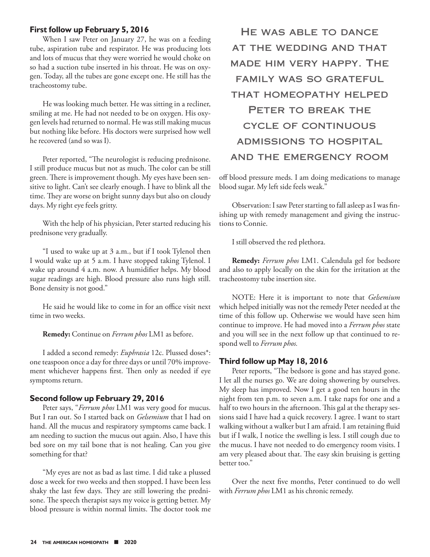#### **First follow up February 5, 2016**

When I saw Peter on January 27, he was on a feeding tube, aspiration tube and respirator. He was producing lots and lots of mucus that they were worried he would choke on so had a suction tube inserted in his throat. He was on oxygen. Today, all the tubes are gone except one. He still has the tracheostomy tube.

He was looking much better. He was sitting in a recliner, smiling at me. He had not needed to be on oxygen. His oxygen levels had returned to normal. He was still making mucus but nothing like before. His doctors were surprised how well he recovered (and so was I).

Peter reported, "The neurologist is reducing prednisone. I still produce mucus but not as much. The color can be still green. There is improvement though. My eyes have been sensitive to light. Can't see clearly enough. I have to blink all the time. They are worse on bright sunny days but also on cloudy days. My right eye feels gritty.

With the help of his physician, Peter started reducing his prednisone very gradually.

"I used to wake up at 3 a.m., but if I took Tylenol then I would wake up at 5 a.m. I have stopped taking Tylenol. I wake up around 4 a.m. now. A humidifier helps. My blood sugar readings are high. Blood pressure also runs high still. Bone density is not good."

He said he would like to come in for an office visit next time in two weeks.

**Remedy:** Continue on *Ferrum phos* LM1 as before.

I added a second remedy: *Euphrasia* 12c. Plussed doses\*: one teaspoon once a day for three days or until 70% improvement whichever happens first. Then only as needed if eye symptoms return.

#### **Second follow up February 29, 2016**

Peter says, "*Ferrum phos* LM1 was very good for mucus. But I ran out. So I started back on *Gelsemium* that I had on hand. All the mucus and respiratory symptoms came back. I am needing to suction the mucus out again. Also, I have this bed sore on my tail bone that is not healing. Can you give something for that?

"My eyes are not as bad as last time. I did take a plussed dose a week for two weeks and then stopped. I have been less shaky the last few days. They are still lowering the prednisone. The speech therapist says my voice is getting better. My blood pressure is within normal limits. The doctor took me

He was able to dance at the wedding and that made him very happy. The family was so grateful that homeopathy helped PETER TO BREAK THE cycle of continuous admissions to hospital and the emergency room

off blood pressure meds. I am doing medications to manage blood sugar. My left side feels weak."

Observation: I saw Peter starting to fall asleep as I was finishing up with remedy management and giving the instructions to Connie.

I still observed the red plethora.

**Remedy:** *Ferrum phos* LM1. Calendula gel for bedsore and also to apply locally on the skin for the irritation at the tracheostomy tube insertion site.

NOTE: Here it is important to note that *Gelsemium* which helped initially was not the remedy Peter needed at the time of this follow up. Otherwise we would have seen him continue to improve. He had moved into a *Ferrum phos* state and you will see in the next follow up that continued to respond well to *Ferrum phos.*

#### **Third follow up May 18, 2016**

Peter reports, "The bedsore is gone and has stayed gone. I let all the nurses go. We are doing showering by ourselves. My sleep has improved. Now I get a good ten hours in the night from ten p.m. to seven a.m. I take naps for one and a half to two hours in the afternoon. This gal at the therapy sessions said I have had a quick recovery. I agree. I want to start walking without a walker but I am afraid. I am retaining fluid but if I walk, I notice the swelling is less. I still cough due to the mucus. I have not needed to do emergency room visits. I am very pleased about that. The easy skin bruising is getting better too."

Over the next five months, Peter continued to do well with *Ferrum phos* LM1 as his chronic remedy.